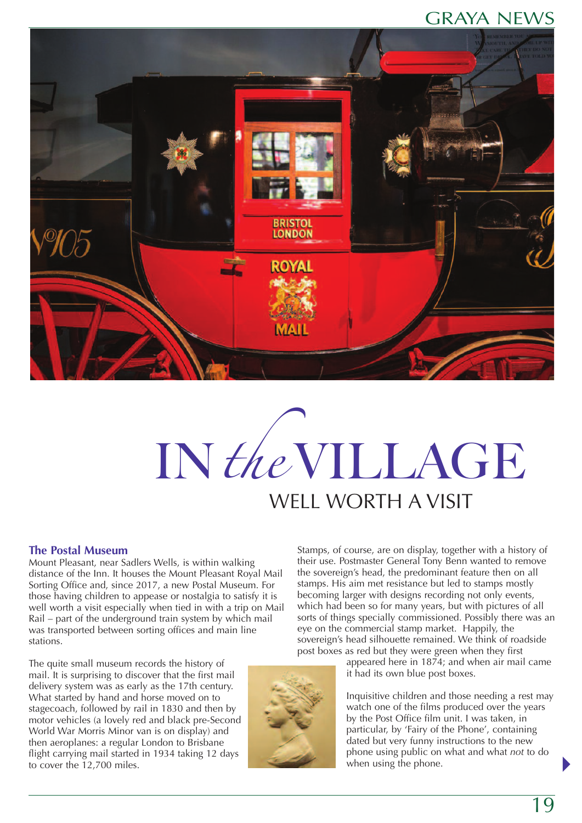# GRAYA NEWS



# IN the VILLAGE WELL WORTH A VISIT

#### **The Postal Museum**

Mount Pleasant, near Sadlers Wells, is within walking distance of the Inn. It houses the Mount Pleasant Royal Mail Sorting Office and, since 2017, a new Postal Museum. For those having children to appease or nostalgia to satisfy it is well worth a visit especially when tied in with a trip on Mail Rail – part of the underground train system by which mail was transported between sorting offices and main line stations.

The quite small museum records the history of mail. It is surprising to discover that the first mail delivery system was as early as the 17th century. What started by hand and horse moved on to stagecoach, followed by rail in 1830 and then by motor vehicles (a lovely red and black pre-Second World War Morris Minor van is on display) and then aeroplanes: a regular London to Brisbane flight carrying mail started in 1934 taking 12 days to cover the 12,700 miles.

Stamps, of course, are on display, together with a history of their use. Postmaster General Tony Benn wanted to remove the sovereign's head, the predominant feature then on all stamps. His aim met resistance but led to stamps mostly becoming larger with designs recording not only events, which had been so for many years, but with pictures of all sorts of things specially commissioned. Possibly there was an eye on the commercial stamp market. Happily, the sovereign's head silhouette remained. We think of roadside post boxes as red but they were green when they first



appeared here in 1874; and when air mail came it had its own blue post boxes.

Inquisitive children and those needing a rest may watch one of the films produced over the years by the Post Office film unit. I was taken, in particular, by 'Fairy of the Phone', containing dated but very funny instructions to the new phone using public on what and what *not* to do when using the phone.

 $\blacktriangleright$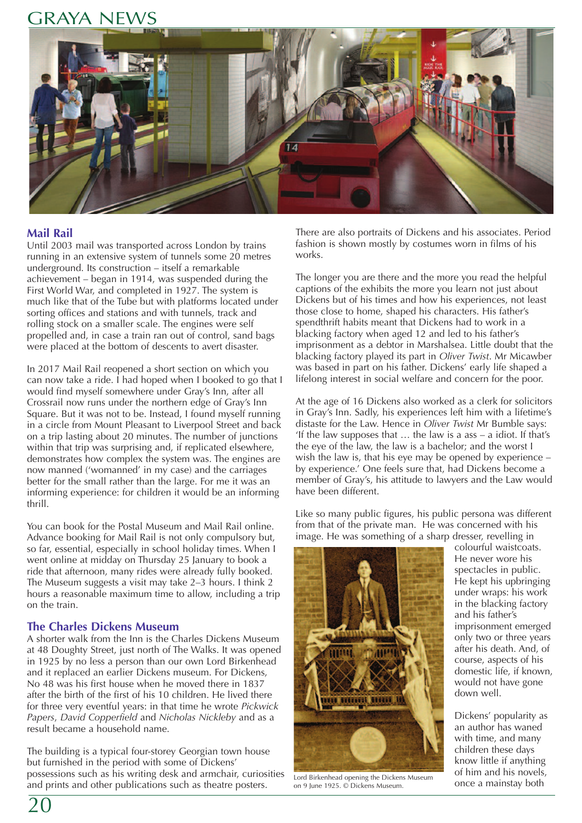## GRAYA NEWS



## **Mail Rail**

Until 2003 mail was transported across London by trains running in an extensive system of tunnels some 20 metres underground. Its construction – itself a remarkable achievement – began in 1914, was suspended during the First World War, and completed in 1927. The system is much like that of the Tube but with platforms located under sorting offices and stations and with tunnels, track and rolling stock on a smaller scale. The engines were self propelled and, in case a train ran out of control, sand bags were placed at the bottom of descents to avert disaster.

In 2017 Mail Rail reopened a short section on which you can now take a ride. I had hoped when I booked to go that I would find myself somewhere under Gray's Inn, after all Crossrail now runs under the northern edge of Gray's Inn Square. But it was not to be. Instead, I found myself running in a circle from Mount Pleasant to Liverpool Street and back on a trip lasting about 20 minutes. The number of junctions within that trip was surprising and, if replicated elsewhere, demonstrates how complex the system was. The engines are now manned ('womanned' in my case) and the carriages better for the small rather than the large. For me it was an informing experience: for children it would be an informing thrill.

You can book for the Postal Museum and Mail Rail online. Advance booking for Mail Rail is not only compulsory but, so far, essential, especially in school holiday times. When I went online at midday on Thursday 25 January to book a ride that afternoon, many rides were already fully booked. The Museum suggests a visit may take 2–3 hours. I think 2 hours a reasonable maximum time to allow, including a trip on the train.

### **The Charles Dickens Museum**

A shorter walk from the Inn is the Charles Dickens Museum at 48 Doughty Street, just north of The Walks. It was opened in 1925 by no less a person than our own Lord Birkenhead and it replaced an earlier Dickens museum. For Dickens, No 48 was his first house when he moved there in 1837 after the birth of the first of his 10 children. He lived there for three very eventful years: in that time he wrote *Pickwick Papers*, *David Copperfield* and *Nicholas Nickleby* and as a result became a household name.

The building is a typical four-storey Georgian town house but furnished in the period with some of Dickens' possessions such as his writing desk and armchair, curiosities and prints and other publications such as theatre posters.

There are also portraits of Dickens and his associates. Period fashion is shown mostly by costumes worn in films of his works.

The longer you are there and the more you read the helpful captions of the exhibits the more you learn not just about Dickens but of his times and how his experiences, not least those close to home, shaped his characters. His father's spendthrift habits meant that Dickens had to work in a blacking factory when aged 12 and led to his father's imprisonment as a debtor in Marshalsea. Little doubt that the blacking factory played its part in *Oliver Twist*. Mr Micawber was based in part on his father. Dickens' early life shaped a lifelong interest in social welfare and concern for the poor.

At the age of 16 Dickens also worked as a clerk for solicitors in Gray's Inn. Sadly, his experiences left him with a lifetime's distaste for the Law. Hence in *Oliver Twist* Mr Bumble says: 'If the law supposes that … the law is a ass – a idiot. If that's the eye of the law, the law is a bachelor; and the worst I wish the law is, that his eye may be opened by experience – by experience.' One feels sure that, had Dickens become a member of Gray's, his attitude to lawyers and the Law would have been different.

Like so many public figures, his public persona was different from that of the private man. He was concerned with his image. He was something of a sharp dresser, revelling in



Lord Birkenhead opening the Dickens Museum<br>on 9 June 1925. © Dickens Museum. Conce a mainstay both on 9 June 1925. © Dickens Museum.

colourful waistcoats. He never wore his spectacles in public. He kept his upbringing under wraps: his work in the blacking factory and his father's imprisonment emerged only two or three years after his death. And, of course, aspects of his domestic life, if known, would not have gone down well.

Dickens' popularity as an author has waned with time, and many children these days know little if anything of him and his novels,